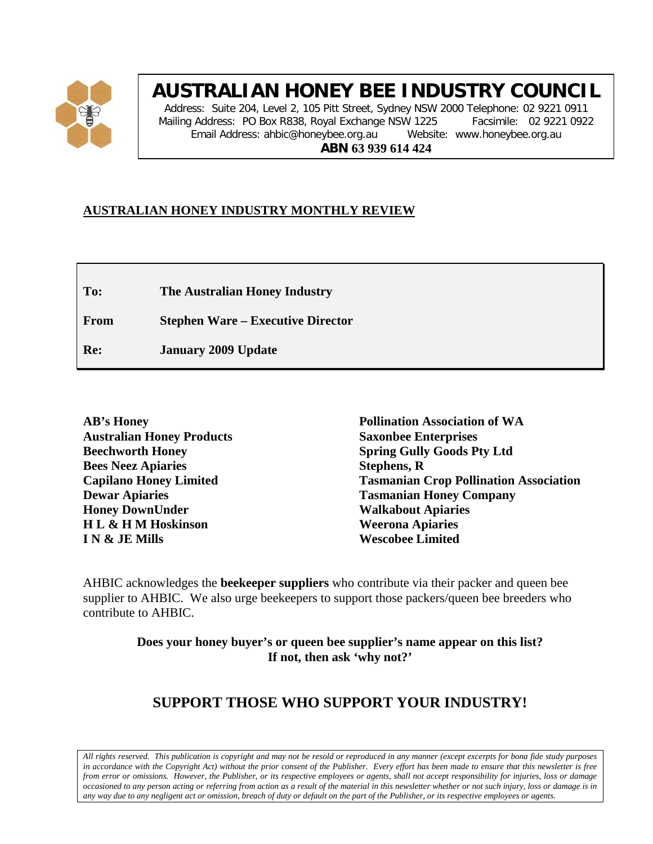

# **AUSTRALIAN HONEY BEE INDUSTRY COUNCIL**

Address: Suite 204, Level 2, 105 Pitt Street, Sydney NSW 2000 Telephone: 02 9221 0911 Mailing Address: PO Box R838, Royal Exchange NSW 1225 Facsimile: 02 9221 0922 Email Address: ahbic@honeybee.org.au Website: www.honeybee.org.au **ABN 63 939 614 424**

# **AUSTRALIAN HONEY INDUSTRY MONTHLY REVIEW**

**To: The Australian Honey Industry**

**From Stephen Ware – Executive Director**

**Re: January 2009 Update**

| <b>AB's Honey</b>                |
|----------------------------------|
| <b>Australian Honey Products</b> |
| <b>Beechworth Honey</b>          |
| <b>Bees Neez Apiaries</b>        |
| <b>Capilano Honey Limited</b>    |
| <b>Dewar Apiaries</b>            |
| <b>Honey DownUnder</b>           |
| HL & HM Hoskinson                |
| IN & JE Mills                    |
|                                  |

**Pollination Association of WA Saxonbee Enterprises Spring Gully Goods Pty Ltd Stephens, R Tasmanian Crop Pollination Association Tasmanian Honey Company Walkabout Apiaries Weerona Apiaries Wescobee Limited**

AHBIC acknowledges the **beekeeper suppliers** who contribute via their packer and queen bee supplier to AHBIC. We also urge beekeepers to support those packers/queen bee breeders who contribute to AHBIC.

> **Does your honey buyer's or queen bee supplier's name appear on this list? If not, then ask 'why not?'**

# **SUPPORT THOSE WHO SUPPORT YOUR INDUSTRY!**

*All rights reserved. This publication is copyright and may not be resold or reproduced in any manner (except excerpts for bona fide study purposes in accordance with the Copyright Act) without the prior consent of the Publisher. Every effort has been made to ensure that this newsletter is free from error or omissions. However, the Publisher, or its respective employees or agents, shall not accept responsibility for injuries, loss or damage occasioned to any person acting or referring from action as a result of the material in this newsletter whether or not such injury, loss or damage is in any way due to any negligent act or omission, breach of duty or default on the part of the Publisher, or its respective employees or agents.*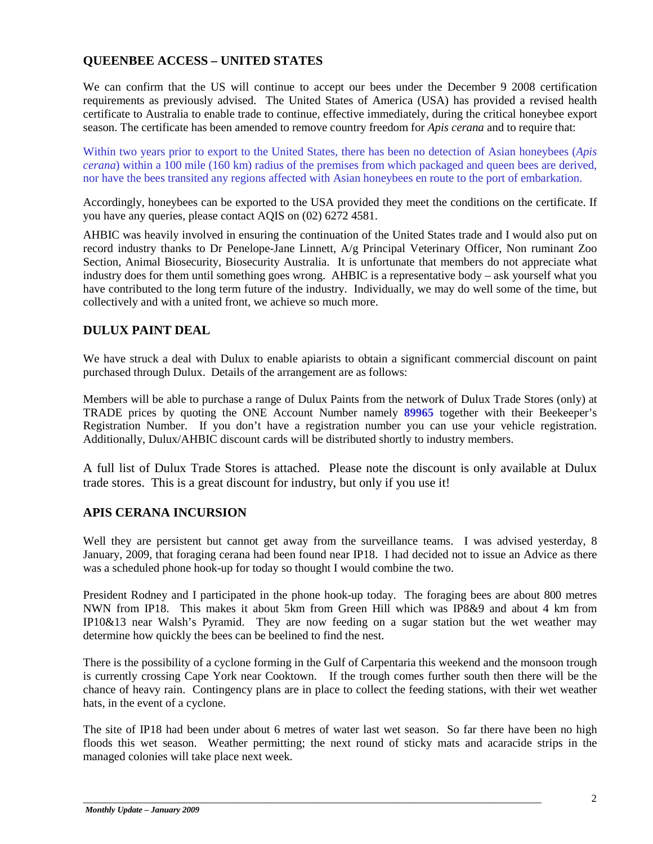# **QUEENBEE ACCESS – UNITED STATES**

We can confirm that the US will continue to accept our bees under the December 9 2008 certification requirements as previously advised. The United States of America (USA) has provided a revised health certificate to Australia to enable trade to continue, effective immediately, during the critical honeybee export season. The certificate has been amended to remove country freedom for *Apis cerana* and to require that:

Within two years prior to export to the United States, there has been no detection of Asian honeybees (*Apis cerana*) within a 100 mile (160 km) radius of the premises from which packaged and queen bees are derived, nor have the bees transited any regions affected with Asian honeybees en route to the port of embarkation.

Accordingly, honeybees can be exported to the USA provided they meet the conditions on the certificate. If you have any queries, please contact AQIS on (02) 6272 4581.

AHBIC was heavily involved in ensuring the continuation of the United States trade and I would also put on record industry thanks to Dr Penelope-Jane Linnett, A/g Principal Veterinary Officer, Non ruminant Zoo Section, Animal Biosecurity, Biosecurity Australia. It is unfortunate that members do not appreciate what industry does for them until something goes wrong. AHBIC is a representative body – ask yourself what you have contributed to the long term future of the industry. Individually, we may do well some of the time, but collectively and with a united front, we achieve so much more.

# **DULUX PAINT DEAL**

We have struck a deal with Dulux to enable apiarists to obtain a significant commercial discount on paint purchased through Dulux. Details of the arrangement are as follows:

Members will be able to purchase a range of Dulux Paints from the network of Dulux Trade Stores (only) at TRADE prices by quoting the ONE Account Number namely **89965** together with their Beekeeper's Registration Number. If you don't have a registration number you can use your vehicle registration. Additionally, Dulux/AHBIC discount cards will be distributed shortly to industry members.

A full list of Dulux Trade Stores is attached. Please note the discount is only available at Dulux trade stores. This is a great discount for industry, but only if you use it!

# **APIS CERANA INCURSION**

Well they are persistent but cannot get away from the surveillance teams. I was advised yesterday, 8 January, 2009, that foraging cerana had been found near IP18. I had decided not to issue an Advice as there was a scheduled phone hook-up for today so thought I would combine the two.

President Rodney and I participated in the phone hook-up today. The foraging bees are about 800 metres NWN from IP18. This makes it about 5km from Green Hill which was IP8&9 and about 4 km from IP10&13 near Walsh's Pyramid. They are now feeding on a sugar station but the wet weather may determine how quickly the bees can be beelined to find the nest.

There is the possibility of a cyclone forming in the Gulf of Carpentaria this weekend and the monsoon trough is currently crossing Cape York near Cooktown. If the trough comes further south then there will be the chance of heavy rain. Contingency plans are in place to collect the feeding stations, with their wet weather hats, in the event of a cyclone.

The site of IP18 had been under about 6 metres of water last wet season. So far there have been no high floods this wet season. Weather permitting; the next round of sticky mats and acaracide strips in the managed colonies will take place next week.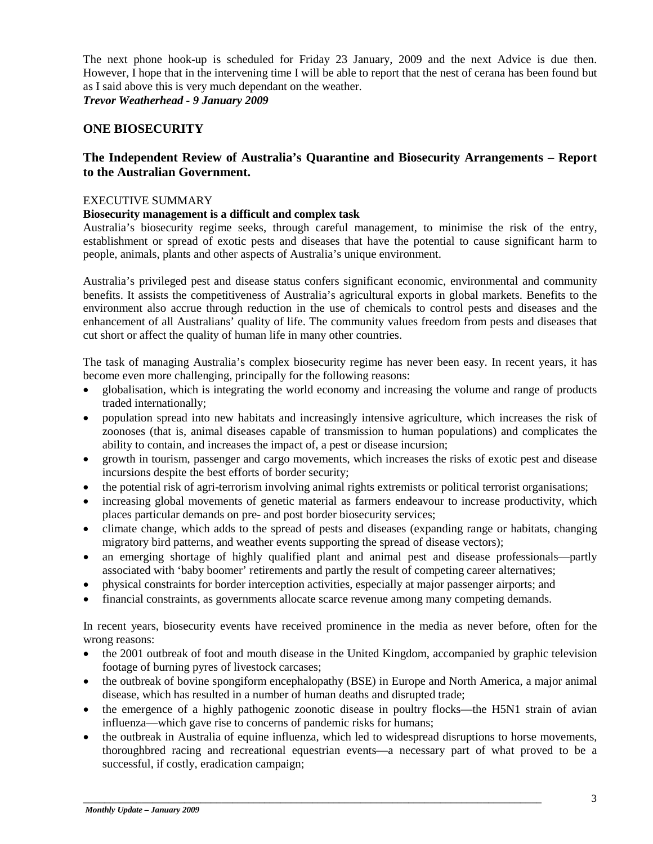The next phone hook-up is scheduled for Friday 23 January, 2009 and the next Advice is due then. However, I hope that in the intervening time I will be able to report that the nest of cerana has been found but as I said above this is very much dependant on the weather. *Trevor Weatherhead - 9 January 2009*

# **ONE BIOSECURITY**

# **The Independent Review of Australia's Quarantine and Biosecurity Arrangements – Report to the Australian Government.**

#### EXECUTIVE SUMMARY

# **Biosecurity management is a difficult and complex task**

Australia's biosecurity regime seeks, through careful management, to minimise the risk of the entry, establishment or spread of exotic pests and diseases that have the potential to cause significant harm to people, animals, plants and other aspects of Australia's unique environment.

Australia's privileged pest and disease status confers significant economic, environmental and community benefits. It assists the competitiveness of Australia's agricultural exports in global markets. Benefits to the environment also accrue through reduction in the use of chemicals to control pests and diseases and the enhancement of all Australians' quality of life. The community values freedom from pests and diseases that cut short or affect the quality of human life in many other countries.

The task of managing Australia's complex biosecurity regime has never been easy. In recent years, it has become even more challenging, principally for the following reasons:

- globalisation, which is integrating the world economy and increasing the volume and range of products traded internationally;
- population spread into new habitats and increasingly intensive agriculture, which increases the risk of zoonoses (that is, animal diseases capable of transmission to human populations) and complicates the ability to contain, and increases the impact of, a pest or disease incursion;
- growth in tourism, passenger and cargo movements, which increases the risks of exotic pest and disease incursions despite the best efforts of border security;
- the potential risk of agri-terrorism involving animal rights extremists or political terrorist organisations;
- increasing global movements of genetic material as farmers endeavour to increase productivity, which places particular demands on pre- and post border biosecurity services;
- climate change, which adds to the spread of pests and diseases (expanding range or habitats, changing migratory bird patterns, and weather events supporting the spread of disease vectors);
- an emerging shortage of highly qualified plant and animal pest and disease professionals—partly associated with 'baby boomer' retirements and partly the result of competing career alternatives;
- physical constraints for border interception activities, especially at major passenger airports; and
- financial constraints, as governments allocate scarce revenue among many competing demands.

In recent years, biosecurity events have received prominence in the media as never before, often for the wrong reasons:

- the 2001 outbreak of foot and mouth disease in the United Kingdom, accompanied by graphic television footage of burning pyres of livestock carcases;
- the outbreak of bovine spongiform encephalopathy (BSE) in Europe and North America, a major animal disease, which has resulted in a number of human deaths and disrupted trade;
- the emergence of a highly pathogenic zoonotic disease in poultry flocks—the H5N1 strain of avian influenza—which gave rise to concerns of pandemic risks for humans;
- the outbreak in Australia of equine influenza, which led to widespread disruptions to horse movements, thoroughbred racing and recreational equestrian events—a necessary part of what proved to be a successful, if costly, eradication campaign;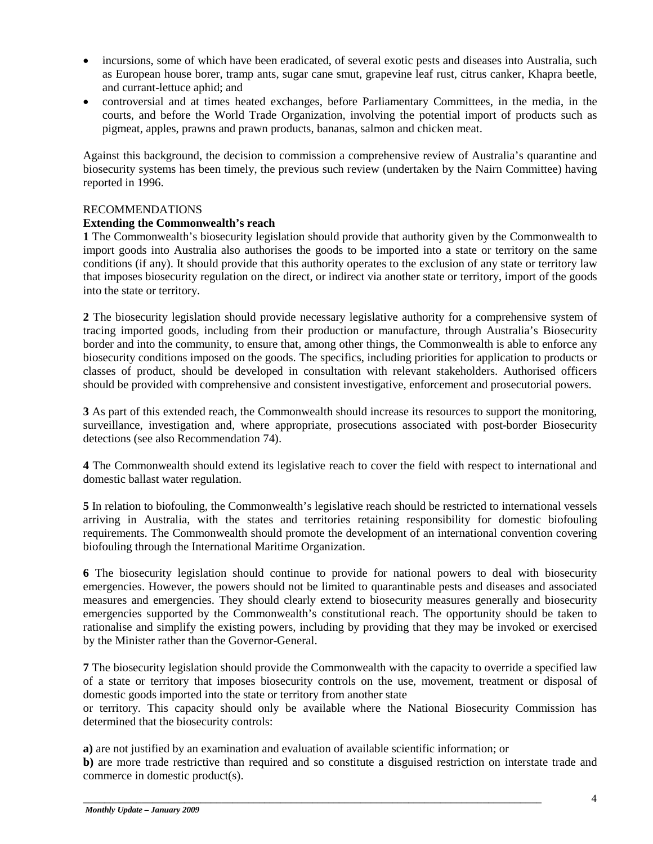- incursions, some of which have been eradicated, of several exotic pests and diseases into Australia, such as European house borer, tramp ants, sugar cane smut, grapevine leaf rust, citrus canker, Khapra beetle, and currant-lettuce aphid; and
- controversial and at times heated exchanges, before Parliamentary Committees, in the media, in the courts, and before the World Trade Organization, involving the potential import of products such as pigmeat, apples, prawns and prawn products, bananas, salmon and chicken meat.

Against this background, the decision to commission a comprehensive review of Australia's quarantine and biosecurity systems has been timely, the previous such review (undertaken by the Nairn Committee) having reported in 1996.

#### RECOMMENDATIONS

## **Extending the Commonwealth's reach**

**1** The Commonwealth's biosecurity legislation should provide that authority given by the Commonwealth to import goods into Australia also authorises the goods to be imported into a state or territory on the same conditions (if any). It should provide that this authority operates to the exclusion of any state or territory law that imposes biosecurity regulation on the direct, or indirect via another state or territory, import of the goods into the state or territory.

**2** The biosecurity legislation should provide necessary legislative authority for a comprehensive system of tracing imported goods, including from their production or manufacture, through Australia's Biosecurity border and into the community, to ensure that, among other things, the Commonwealth is able to enforce any biosecurity conditions imposed on the goods. The specifics, including priorities for application to products or classes of product, should be developed in consultation with relevant stakeholders. Authorised officers should be provided with comprehensive and consistent investigative, enforcement and prosecutorial powers.

**3** As part of this extended reach, the Commonwealth should increase its resources to support the monitoring, surveillance, investigation and, where appropriate, prosecutions associated with post-border Biosecurity detections (see also Recommendation 74).

**4** The Commonwealth should extend its legislative reach to cover the field with respect to international and domestic ballast water regulation.

**5** In relation to biofouling, the Commonwealth's legislative reach should be restricted to international vessels arriving in Australia, with the states and territories retaining responsibility for domestic biofouling requirements. The Commonwealth should promote the development of an international convention covering biofouling through the International Maritime Organization.

**6** The biosecurity legislation should continue to provide for national powers to deal with biosecurity emergencies. However, the powers should not be limited to quarantinable pests and diseases and associated measures and emergencies. They should clearly extend to biosecurity measures generally and biosecurity emergencies supported by the Commonwealth's constitutional reach. The opportunity should be taken to rationalise and simplify the existing powers, including by providing that they may be invoked or exercised by the Minister rather than the Governor-General.

**7** The biosecurity legislation should provide the Commonwealth with the capacity to override a specified law of a state or territory that imposes biosecurity controls on the use, movement, treatment or disposal of domestic goods imported into the state or territory from another state

or territory. This capacity should only be available where the National Biosecurity Commission has determined that the biosecurity controls:

**a)** are not justified by an examination and evaluation of available scientific information; or

**b)** are more trade restrictive than required and so constitute a disguised restriction on interstate trade and commerce in domestic product(s).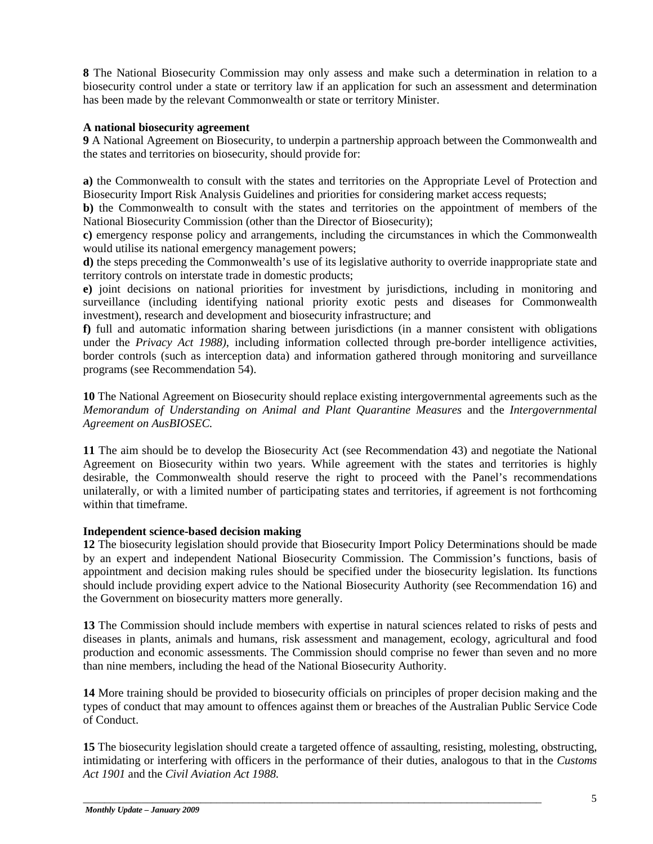**8** The National Biosecurity Commission may only assess and make such a determination in relation to a biosecurity control under a state or territory law if an application for such an assessment and determination has been made by the relevant Commonwealth or state or territory Minister.

## **A national biosecurity agreement**

**9** A National Agreement on Biosecurity, to underpin a partnership approach between the Commonwealth and the states and territories on biosecurity, should provide for:

**a)** the Commonwealth to consult with the states and territories on the Appropriate Level of Protection and Biosecurity Import Risk Analysis Guidelines and priorities for considering market access requests;

**b)** the Commonwealth to consult with the states and territories on the appointment of members of the National Biosecurity Commission (other than the Director of Biosecurity);

**c)** emergency response policy and arrangements, including the circumstances in which the Commonwealth would utilise its national emergency management powers;

**d)** the steps preceding the Commonwealth's use of its legislative authority to override inappropriate state and territory controls on interstate trade in domestic products;

**e)** joint decisions on national priorities for investment by jurisdictions, including in monitoring and surveillance (including identifying national priority exotic pests and diseases for Commonwealth investment), research and development and biosecurity infrastructure; and

**f)** full and automatic information sharing between jurisdictions (in a manner consistent with obligations under the *Privacy Act 1988)*, including information collected through pre-border intelligence activities, border controls (such as interception data) and information gathered through monitoring and surveillance programs (see Recommendation 54).

**10** The National Agreement on Biosecurity should replace existing intergovernmental agreements such as the *Memorandum of Understanding on Animal and Plant Quarantine Measures* and the *Intergovernmental Agreement on AusBIOSEC.*

**11** The aim should be to develop the Biosecurity Act (see Recommendation 43) and negotiate the National Agreement on Biosecurity within two years. While agreement with the states and territories is highly desirable, the Commonwealth should reserve the right to proceed with the Panel's recommendations unilaterally, or with a limited number of participating states and territories, if agreement is not forthcoming within that timeframe.

# **Independent science-based decision making**

**12** The biosecurity legislation should provide that Biosecurity Import Policy Determinations should be made by an expert and independent National Biosecurity Commission. The Commission's functions, basis of appointment and decision making rules should be specified under the biosecurity legislation. Its functions should include providing expert advice to the National Biosecurity Authority (see Recommendation 16) and the Government on biosecurity matters more generally.

**13** The Commission should include members with expertise in natural sciences related to risks of pests and diseases in plants, animals and humans, risk assessment and management, ecology, agricultural and food production and economic assessments. The Commission should comprise no fewer than seven and no more than nine members, including the head of the National Biosecurity Authority.

**14** More training should be provided to biosecurity officials on principles of proper decision making and the types of conduct that may amount to offences against them or breaches of the Australian Public Service Code of Conduct.

**15** The biosecurity legislation should create a targeted offence of assaulting, resisting, molesting, obstructing, intimidating or interfering with officers in the performance of their duties, analogous to that in the *Customs Act 1901* and the *Civil Aviation Act 1988*.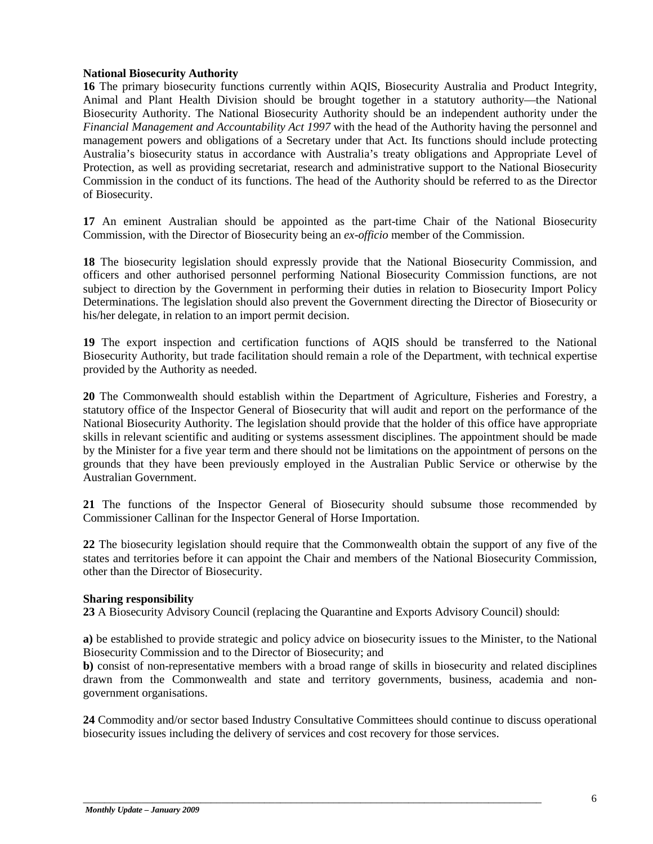#### **National Biosecurity Authority**

**16** The primary biosecurity functions currently within AQIS, Biosecurity Australia and Product Integrity, Animal and Plant Health Division should be brought together in a statutory authority—the National Biosecurity Authority. The National Biosecurity Authority should be an independent authority under the *Financial Management and Accountability Act 1997* with the head of the Authority having the personnel and management powers and obligations of a Secretary under that Act. Its functions should include protecting Australia's biosecurity status in accordance with Australia's treaty obligations and Appropriate Level of Protection, as well as providing secretariat, research and administrative support to the National Biosecurity Commission in the conduct of its functions. The head of the Authority should be referred to as the Director of Biosecurity.

**17** An eminent Australian should be appointed as the part-time Chair of the National Biosecurity Commission, with the Director of Biosecurity being an *ex-officio* member of the Commission.

**18** The biosecurity legislation should expressly provide that the National Biosecurity Commission, and officers and other authorised personnel performing National Biosecurity Commission functions, are not subject to direction by the Government in performing their duties in relation to Biosecurity Import Policy Determinations. The legislation should also prevent the Government directing the Director of Biosecurity or his/her delegate, in relation to an import permit decision.

**19** The export inspection and certification functions of AQIS should be transferred to the National Biosecurity Authority, but trade facilitation should remain a role of the Department, with technical expertise provided by the Authority as needed.

**20** The Commonwealth should establish within the Department of Agriculture, Fisheries and Forestry, a statutory office of the Inspector General of Biosecurity that will audit and report on the performance of the National Biosecurity Authority. The legislation should provide that the holder of this office have appropriate skills in relevant scientific and auditing or systems assessment disciplines. The appointment should be made by the Minister for a five year term and there should not be limitations on the appointment of persons on the grounds that they have been previously employed in the Australian Public Service or otherwise by the Australian Government.

**21** The functions of the Inspector General of Biosecurity should subsume those recommended by Commissioner Callinan for the Inspector General of Horse Importation.

**22** The biosecurity legislation should require that the Commonwealth obtain the support of any five of the states and territories before it can appoint the Chair and members of the National Biosecurity Commission, other than the Director of Biosecurity.

#### **Sharing responsibility**

**23** A Biosecurity Advisory Council (replacing the Quarantine and Exports Advisory Council) should:

**a)** be established to provide strategic and policy advice on biosecurity issues to the Minister, to the National Biosecurity Commission and to the Director of Biosecurity; and

**b)** consist of non-representative members with a broad range of skills in biosecurity and related disciplines drawn from the Commonwealth and state and territory governments, business, academia and nongovernment organisations.

**24** Commodity and/or sector based Industry Consultative Committees should continue to discuss operational biosecurity issues including the delivery of services and cost recovery for those services.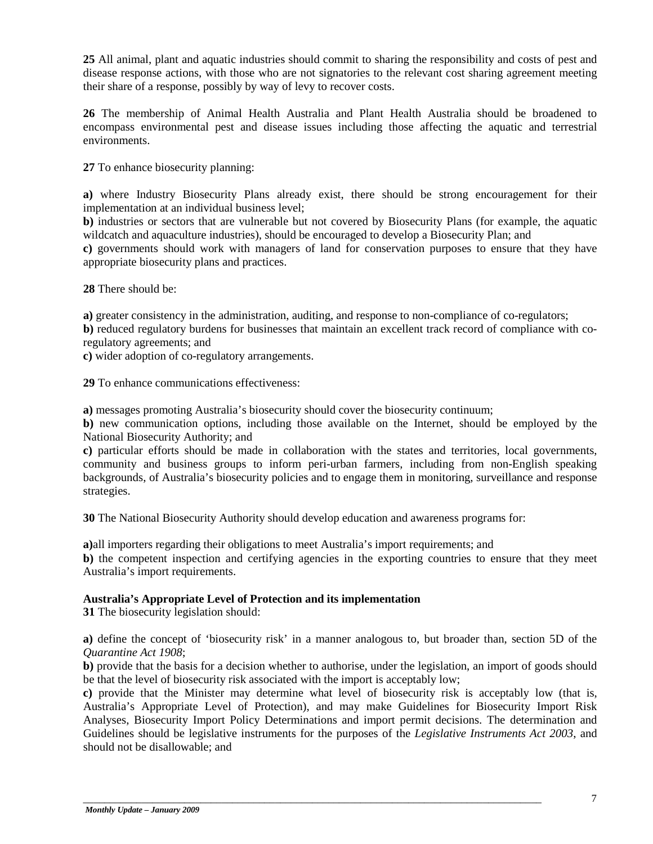**25** All animal, plant and aquatic industries should commit to sharing the responsibility and costs of pest and disease response actions, with those who are not signatories to the relevant cost sharing agreement meeting their share of a response, possibly by way of levy to recover costs.

**26** The membership of Animal Health Australia and Plant Health Australia should be broadened to encompass environmental pest and disease issues including those affecting the aquatic and terrestrial environments.

**27** To enhance biosecurity planning:

**a)** where Industry Biosecurity Plans already exist, there should be strong encouragement for their implementation at an individual business level;

**b)** industries or sectors that are vulnerable but not covered by Biosecurity Plans (for example, the aquatic wildcatch and aquaculture industries), should be encouraged to develop a Biosecurity Plan; and

**c)** governments should work with managers of land for conservation purposes to ensure that they have appropriate biosecurity plans and practices.

**28** There should be:

**a**) greater consistency in the administration, auditing, and response to non-compliance of co-regulators;

**b)** reduced regulatory burdens for businesses that maintain an excellent track record of compliance with coregulatory agreements; and

**c)** wider adoption of co-regulatory arrangements.

**29** To enhance communications effectiveness:

**a)** messages promoting Australia's biosecurity should cover the biosecurity continuum;

**b)** new communication options, including those available on the Internet, should be employed by the National Biosecurity Authority; and

**c)** particular efforts should be made in collaboration with the states and territories, local governments, community and business groups to inform peri-urban farmers, including from non-English speaking backgrounds, of Australia's biosecurity policies and to engage them in monitoring, surveillance and response strategies.

**30** The National Biosecurity Authority should develop education and awareness programs for:

**a)**all importers regarding their obligations to meet Australia's import requirements; and

**b**) the competent inspection and certifying agencies in the exporting countries to ensure that they meet Australia's import requirements.

#### **Australia's Appropriate Level of Protection and its implementation**

**31** The biosecurity legislation should:

**a)** define the concept of 'biosecurity risk' in a manner analogous to, but broader than, section 5D of the *Quarantine Act 1908*;

**b)** provide that the basis for a decision whether to authorise, under the legislation, an import of goods should be that the level of biosecurity risk associated with the import is acceptably low;

**c)** provide that the Minister may determine what level of biosecurity risk is acceptably low (that is, Australia's Appropriate Level of Protection), and may make Guidelines for Biosecurity Import Risk Analyses, Biosecurity Import Policy Determinations and import permit decisions. The determination and Guidelines should be legislative instruments for the purposes of the *Legislative Instruments Act 2003*, and should not be disallowable; and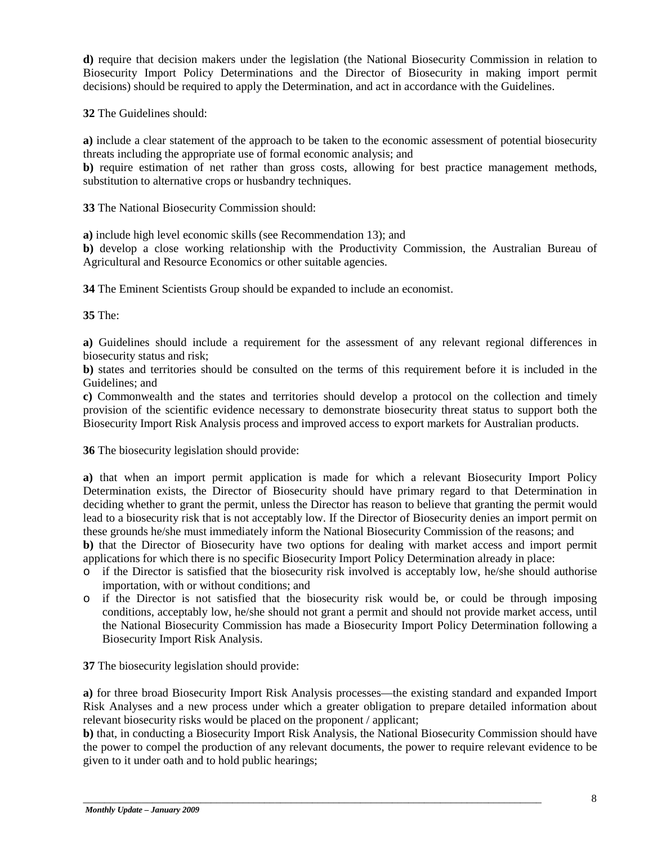**d)** require that decision makers under the legislation (the National Biosecurity Commission in relation to Biosecurity Import Policy Determinations and the Director of Biosecurity in making import permit decisions) should be required to apply the Determination, and act in accordance with the Guidelines.

**32** The Guidelines should:

**a)** include a clear statement of the approach to be taken to the economic assessment of potential biosecurity threats including the appropriate use of formal economic analysis; and

**b)** require estimation of net rather than gross costs, allowing for best practice management methods, substitution to alternative crops or husbandry techniques.

**33** The National Biosecurity Commission should:

**a)** include high level economic skills (see Recommendation 13); and

**b)** develop a close working relationship with the Productivity Commission, the Australian Bureau of Agricultural and Resource Economics or other suitable agencies.

**34** The Eminent Scientists Group should be expanded to include an economist.

**35** The:

**a)** Guidelines should include a requirement for the assessment of any relevant regional differences in biosecurity status and risk;

**b)** states and territories should be consulted on the terms of this requirement before it is included in the Guidelines; and

**c)** Commonwealth and the states and territories should develop a protocol on the collection and timely provision of the scientific evidence necessary to demonstrate biosecurity threat status to support both the Biosecurity Import Risk Analysis process and improved access to export markets for Australian products.

**36** The biosecurity legislation should provide:

**a)** that when an import permit application is made for which a relevant Biosecurity Import Policy Determination exists, the Director of Biosecurity should have primary regard to that Determination in deciding whether to grant the permit, unless the Director has reason to believe that granting the permit would lead to a biosecurity risk that is not acceptably low. If the Director of Biosecurity denies an import permit on these grounds he/she must immediately inform the National Biosecurity Commission of the reasons; and **b)** that the Director of Biosecurity have two options for dealing with market access and import permit

applications for which there is no specific Biosecurity Import Policy Determination already in place:

- o if the Director is satisfied that the biosecurity risk involved is acceptably low, he/she should authorise importation, with or without conditions; and
- o if the Director is not satisfied that the biosecurity risk would be, or could be through imposing conditions, acceptably low, he/she should not grant a permit and should not provide market access, until the National Biosecurity Commission has made a Biosecurity Import Policy Determination following a Biosecurity Import Risk Analysis.

**37** The biosecurity legislation should provide:

**a)** for three broad Biosecurity Import Risk Analysis processes—the existing standard and expanded Import Risk Analyses and a new process under which a greater obligation to prepare detailed information about relevant biosecurity risks would be placed on the proponent / applicant;

**b)** that, in conducting a Biosecurity Import Risk Analysis, the National Biosecurity Commission should have the power to compel the production of any relevant documents, the power to require relevant evidence to be given to it under oath and to hold public hearings;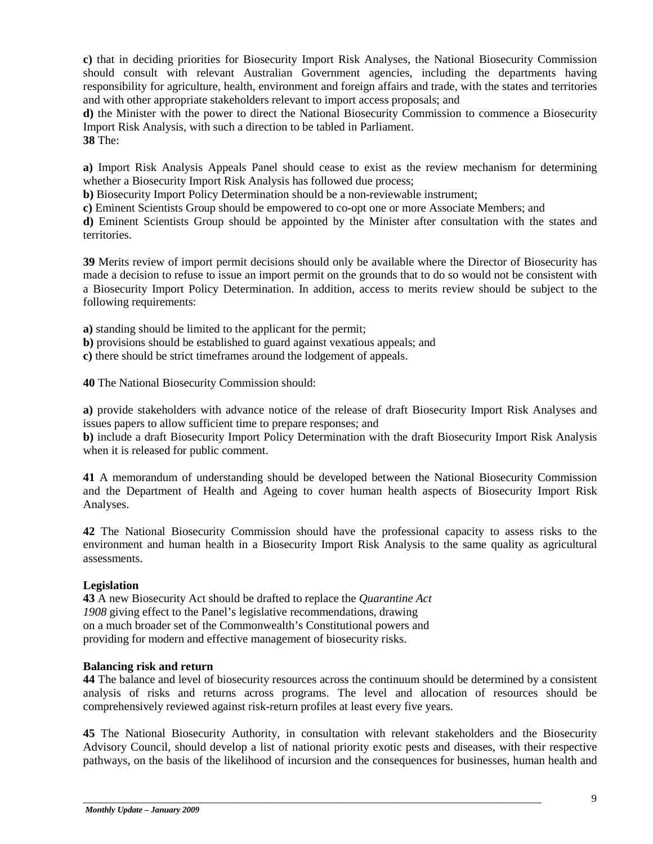**c)** that in deciding priorities for Biosecurity Import Risk Analyses, the National Biosecurity Commission should consult with relevant Australian Government agencies, including the departments having responsibility for agriculture, health, environment and foreign affairs and trade, with the states and territories and with other appropriate stakeholders relevant to import access proposals; and

**d)** the Minister with the power to direct the National Biosecurity Commission to commence a Biosecurity Import Risk Analysis, with such a direction to be tabled in Parliament. **38** The:

**a)** Import Risk Analysis Appeals Panel should cease to exist as the review mechanism for determining whether a Biosecurity Import Risk Analysis has followed due process;

**b)** Biosecurity Import Policy Determination should be a non-reviewable instrument;

**c)** Eminent Scientists Group should be empowered to co-opt one or more Associate Members; and

**d)** Eminent Scientists Group should be appointed by the Minister after consultation with the states and territories.

**39** Merits review of import permit decisions should only be available where the Director of Biosecurity has made a decision to refuse to issue an import permit on the grounds that to do so would not be consistent with a Biosecurity Import Policy Determination. In addition, access to merits review should be subject to the following requirements:

**a)** standing should be limited to the applicant for the permit;

**b)** provisions should be established to guard against vexatious appeals; and

**c)** there should be strict timeframes around the lodgement of appeals.

**40** The National Biosecurity Commission should:

**a)** provide stakeholders with advance notice of the release of draft Biosecurity Import Risk Analyses and issues papers to allow sufficient time to prepare responses; and

**b)** include a draft Biosecurity Import Policy Determination with the draft Biosecurity Import Risk Analysis when it is released for public comment.

**41** A memorandum of understanding should be developed between the National Biosecurity Commission and the Department of Health and Ageing to cover human health aspects of Biosecurity Import Risk Analyses.

**42** The National Biosecurity Commission should have the professional capacity to assess risks to the environment and human health in a Biosecurity Import Risk Analysis to the same quality as agricultural assessments.

# **Legislation**

**43** A new Biosecurity Act should be drafted to replace the *Quarantine Act 1908* giving effect to the Panel's legislative recommendations, drawing on a much broader set of the Commonwealth's Constitutional powers and providing for modern and effective management of biosecurity risks.

#### **Balancing risk and return**

**44** The balance and level of biosecurity resources across the continuum should be determined by a consistent analysis of risks and returns across programs. The level and allocation of resources should be comprehensively reviewed against risk-return profiles at least every five years.

**45** The National Biosecurity Authority, in consultation with relevant stakeholders and the Biosecurity Advisory Council, should develop a list of national priority exotic pests and diseases, with their respective pathways, on the basis of the likelihood of incursion and the consequences for businesses, human health and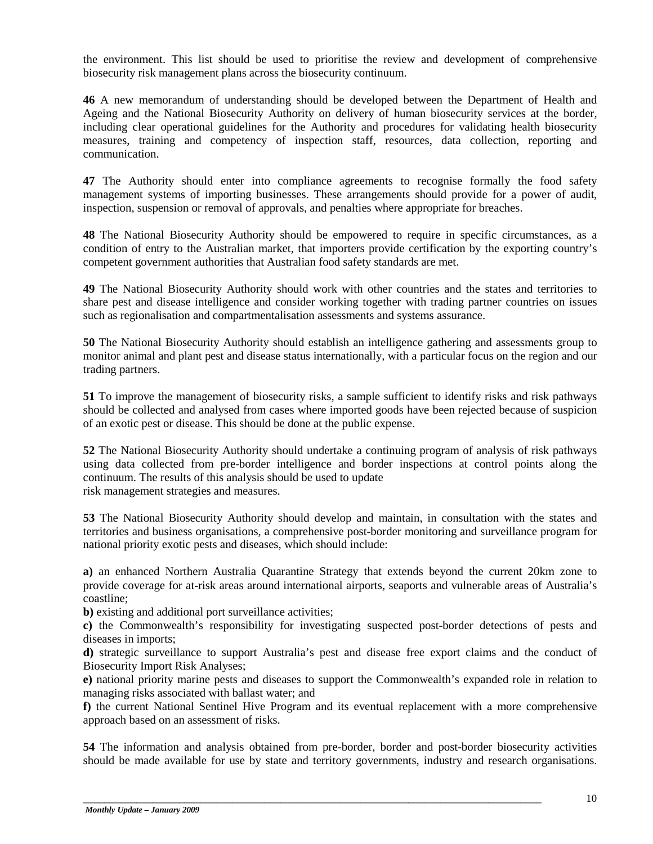the environment. This list should be used to prioritise the review and development of comprehensive biosecurity risk management plans across the biosecurity continuum.

**46** A new memorandum of understanding should be developed between the Department of Health and Ageing and the National Biosecurity Authority on delivery of human biosecurity services at the border, including clear operational guidelines for the Authority and procedures for validating health biosecurity measures, training and competency of inspection staff, resources, data collection, reporting and communication.

**47** The Authority should enter into compliance agreements to recognise formally the food safety management systems of importing businesses. These arrangements should provide for a power of audit, inspection, suspension or removal of approvals, and penalties where appropriate for breaches.

**48** The National Biosecurity Authority should be empowered to require in specific circumstances, as a condition of entry to the Australian market, that importers provide certification by the exporting country's competent government authorities that Australian food safety standards are met.

**49** The National Biosecurity Authority should work with other countries and the states and territories to share pest and disease intelligence and consider working together with trading partner countries on issues such as regionalisation and compartmentalisation assessments and systems assurance.

**50** The National Biosecurity Authority should establish an intelligence gathering and assessments group to monitor animal and plant pest and disease status internationally, with a particular focus on the region and our trading partners.

**51** To improve the management of biosecurity risks, a sample sufficient to identify risks and risk pathways should be collected and analysed from cases where imported goods have been rejected because of suspicion of an exotic pest or disease. This should be done at the public expense.

**52** The National Biosecurity Authority should undertake a continuing program of analysis of risk pathways using data collected from pre-border intelligence and border inspections at control points along the continuum. The results of this analysis should be used to update risk management strategies and measures.

**53** The National Biosecurity Authority should develop and maintain, in consultation with the states and territories and business organisations, a comprehensive post-border monitoring and surveillance program for national priority exotic pests and diseases, which should include:

**a)** an enhanced Northern Australia Quarantine Strategy that extends beyond the current 20km zone to provide coverage for at-risk areas around international airports, seaports and vulnerable areas of Australia's coastline;

**b)** existing and additional port surveillance activities;

**c)** the Commonwealth's responsibility for investigating suspected post-border detections of pests and diseases in imports;

**d)** strategic surveillance to support Australia's pest and disease free export claims and the conduct of Biosecurity Import Risk Analyses;

**e)** national priority marine pests and diseases to support the Commonwealth's expanded role in relation to managing risks associated with ballast water; and

**f)** the current National Sentinel Hive Program and its eventual replacement with a more comprehensive approach based on an assessment of risks.

**54** The information and analysis obtained from pre-border, border and post-border biosecurity activities should be made available for use by state and territory governments, industry and research organisations.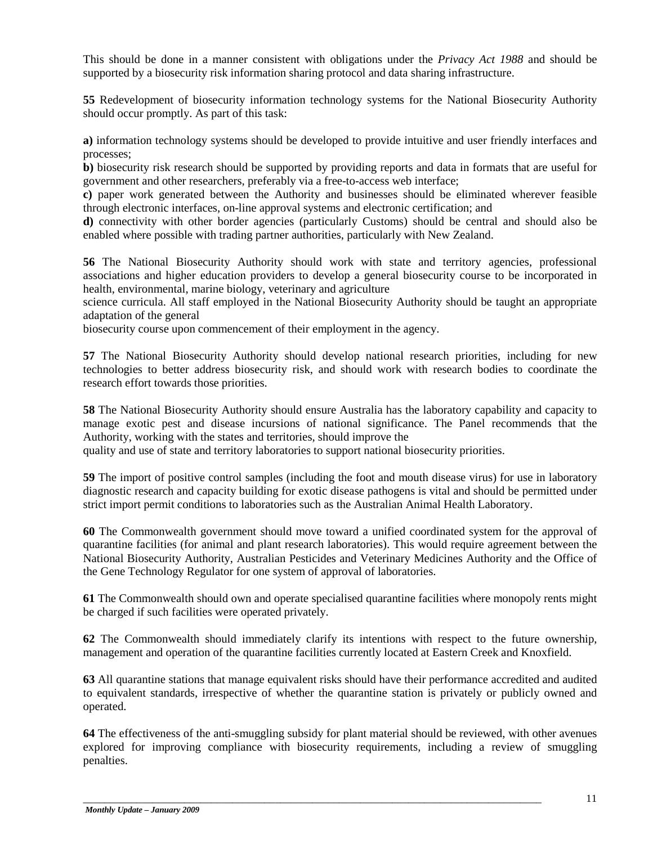This should be done in a manner consistent with obligations under the *Privacy Act 1988* and should be supported by a biosecurity risk information sharing protocol and data sharing infrastructure.

**55** Redevelopment of biosecurity information technology systems for the National Biosecurity Authority should occur promptly. As part of this task:

**a)** information technology systems should be developed to provide intuitive and user friendly interfaces and processes;

**b)** biosecurity risk research should be supported by providing reports and data in formats that are useful for government and other researchers, preferably via a free-to-access web interface;

**c)** paper work generated between the Authority and businesses should be eliminated wherever feasible through electronic interfaces, on-line approval systems and electronic certification; and

**d)** connectivity with other border agencies (particularly Customs) should be central and should also be enabled where possible with trading partner authorities, particularly with New Zealand.

**56** The National Biosecurity Authority should work with state and territory agencies, professional associations and higher education providers to develop a general biosecurity course to be incorporated in health, environmental, marine biology, veterinary and agriculture

science curricula. All staff employed in the National Biosecurity Authority should be taught an appropriate adaptation of the general

biosecurity course upon commencement of their employment in the agency.

**57** The National Biosecurity Authority should develop national research priorities, including for new technologies to better address biosecurity risk, and should work with research bodies to coordinate the research effort towards those priorities.

**58** The National Biosecurity Authority should ensure Australia has the laboratory capability and capacity to manage exotic pest and disease incursions of national significance. The Panel recommends that the Authority, working with the states and territories, should improve the

quality and use of state and territory laboratories to support national biosecurity priorities.

**59** The import of positive control samples (including the foot and mouth disease virus) for use in laboratory diagnostic research and capacity building for exotic disease pathogens is vital and should be permitted under strict import permit conditions to laboratories such as the Australian Animal Health Laboratory.

**60** The Commonwealth government should move toward a unified coordinated system for the approval of quarantine facilities (for animal and plant research laboratories). This would require agreement between the National Biosecurity Authority, Australian Pesticides and Veterinary Medicines Authority and the Office of the Gene Technology Regulator for one system of approval of laboratories.

**61** The Commonwealth should own and operate specialised quarantine facilities where monopoly rents might be charged if such facilities were operated privately.

**62** The Commonwealth should immediately clarify its intentions with respect to the future ownership, management and operation of the quarantine facilities currently located at Eastern Creek and Knoxfield.

**63** All quarantine stations that manage equivalent risks should have their performance accredited and audited to equivalent standards, irrespective of whether the quarantine station is privately or publicly owned and operated.

**64** The effectiveness of the anti-smuggling subsidy for plant material should be reviewed, with other avenues explored for improving compliance with biosecurity requirements, including a review of smuggling penalties.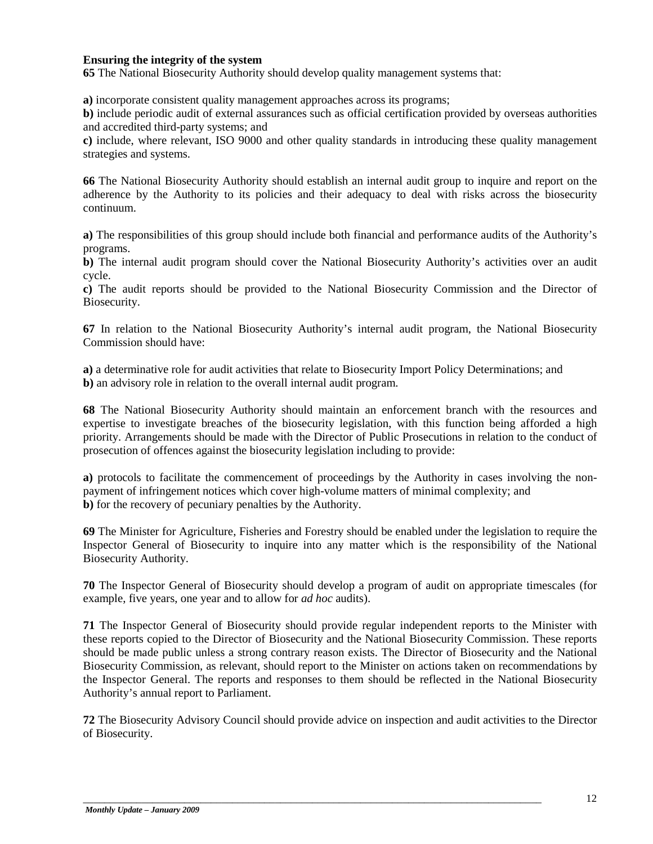#### **Ensuring the integrity of the system**

**65** The National Biosecurity Authority should develop quality management systems that:

**a)** incorporate consistent quality management approaches across its programs;

**b)** include periodic audit of external assurances such as official certification provided by overseas authorities and accredited third-party systems; and

**c)** include, where relevant, ISO 9000 and other quality standards in introducing these quality management strategies and systems.

**66** The National Biosecurity Authority should establish an internal audit group to inquire and report on the adherence by the Authority to its policies and their adequacy to deal with risks across the biosecurity continuum.

**a)** The responsibilities of this group should include both financial and performance audits of the Authority's programs.

**b)** The internal audit program should cover the National Biosecurity Authority's activities over an audit cycle.

**c)** The audit reports should be provided to the National Biosecurity Commission and the Director of Biosecurity.

**67** In relation to the National Biosecurity Authority's internal audit program, the National Biosecurity Commission should have:

**a)** a determinative role for audit activities that relate to Biosecurity Import Policy Determinations; and **b)** an advisory role in relation to the overall internal audit program.

**68** The National Biosecurity Authority should maintain an enforcement branch with the resources and expertise to investigate breaches of the biosecurity legislation, with this function being afforded a high priority. Arrangements should be made with the Director of Public Prosecutions in relation to the conduct of prosecution of offences against the biosecurity legislation including to provide:

**a**) protocols to facilitate the commencement of proceedings by the Authority in cases involving the nonpayment of infringement notices which cover high-volume matters of minimal complexity; and **b)** for the recovery of pecuniary penalties by the Authority.

**69** The Minister for Agriculture, Fisheries and Forestry should be enabled under the legislation to require the Inspector General of Biosecurity to inquire into any matter which is the responsibility of the National Biosecurity Authority.

**70** The Inspector General of Biosecurity should develop a program of audit on appropriate timescales (for example, five years, one year and to allow for *ad hoc* audits).

**71** The Inspector General of Biosecurity should provide regular independent reports to the Minister with these reports copied to the Director of Biosecurity and the National Biosecurity Commission. These reports should be made public unless a strong contrary reason exists. The Director of Biosecurity and the National Biosecurity Commission, as relevant, should report to the Minister on actions taken on recommendations by the Inspector General. The reports and responses to them should be reflected in the National Biosecurity Authority's annual report to Parliament.

**72** The Biosecurity Advisory Council should provide advice on inspection and audit activities to the Director of Biosecurity.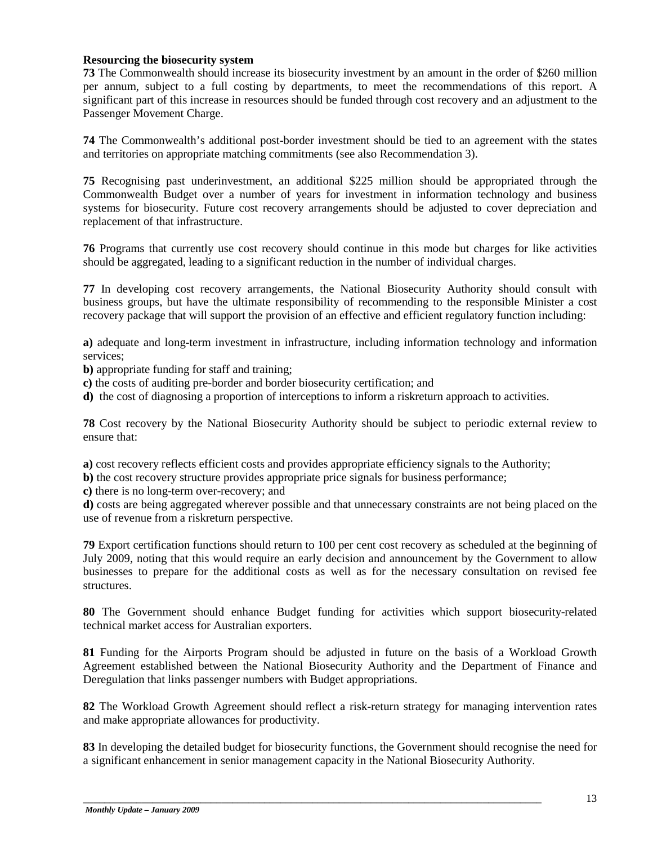#### **Resourcing the biosecurity system**

**73** The Commonwealth should increase its biosecurity investment by an amount in the order of \$260 million per annum, subject to a full costing by departments, to meet the recommendations of this report. A significant part of this increase in resources should be funded through cost recovery and an adjustment to the Passenger Movement Charge.

**74** The Commonwealth's additional post-border investment should be tied to an agreement with the states and territories on appropriate matching commitments (see also Recommendation 3).

**75** Recognising past underinvestment, an additional \$225 million should be appropriated through the Commonwealth Budget over a number of years for investment in information technology and business systems for biosecurity. Future cost recovery arrangements should be adjusted to cover depreciation and replacement of that infrastructure.

**76** Programs that currently use cost recovery should continue in this mode but charges for like activities should be aggregated, leading to a significant reduction in the number of individual charges.

**77** In developing cost recovery arrangements, the National Biosecurity Authority should consult with business groups, but have the ultimate responsibility of recommending to the responsible Minister a cost recovery package that will support the provision of an effective and efficient regulatory function including:

**a)** adequate and long-term investment in infrastructure, including information technology and information services;

**b)** appropriate funding for staff and training;

- **c)** the costs of auditing pre-border and border biosecurity certification; and
- **d)** the cost of diagnosing a proportion of interceptions to inform a riskreturn approach to activities.

**78** Cost recovery by the National Biosecurity Authority should be subject to periodic external review to ensure that:

**a)** cost recovery reflects efficient costs and provides appropriate efficiency signals to the Authority;

**b**) the cost recovery structure provides appropriate price signals for business performance;

**c)** there is no long-term over-recovery; and

**d)** costs are being aggregated wherever possible and that unnecessary constraints are not being placed on the use of revenue from a riskreturn perspective.

**79** Export certification functions should return to 100 per cent cost recovery as scheduled at the beginning of July 2009, noting that this would require an early decision and announcement by the Government to allow businesses to prepare for the additional costs as well as for the necessary consultation on revised fee structures.

**80** The Government should enhance Budget funding for activities which support biosecurity-related technical market access for Australian exporters.

**81** Funding for the Airports Program should be adjusted in future on the basis of a Workload Growth Agreement established between the National Biosecurity Authority and the Department of Finance and Deregulation that links passenger numbers with Budget appropriations.

**82** The Workload Growth Agreement should reflect a risk-return strategy for managing intervention rates and make appropriate allowances for productivity.

**83** In developing the detailed budget for biosecurity functions, the Government should recognise the need for a significant enhancement in senior management capacity in the National Biosecurity Authority.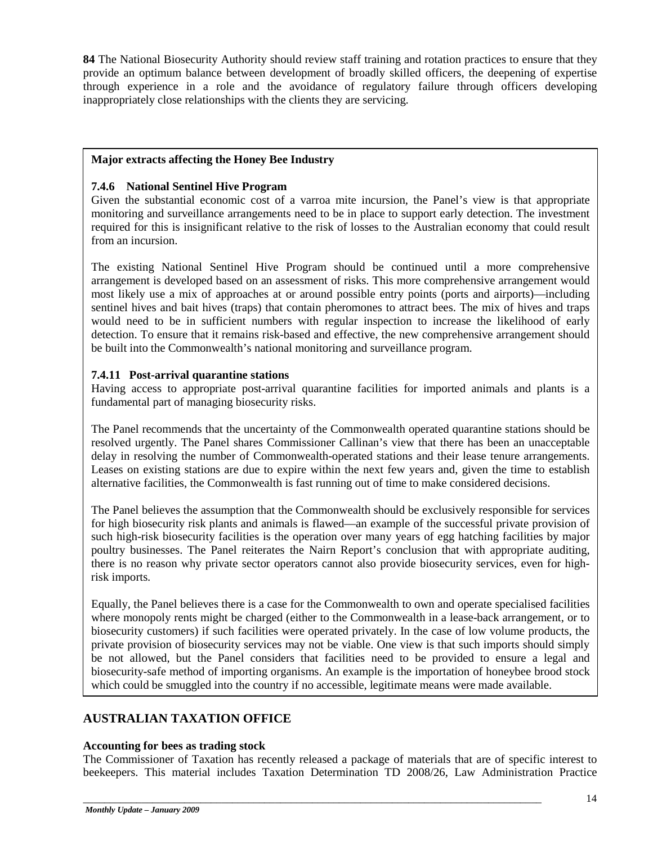**84** The National Biosecurity Authority should review staff training and rotation practices to ensure that they provide an optimum balance between development of broadly skilled officers, the deepening of expertise through experience in a role and the avoidance of regulatory failure through officers developing inappropriately close relationships with the clients they are servicing.

# **Major extracts affecting the Honey Bee Industry**

# **7.4.6 National Sentinel Hive Program**

Given the substantial economic cost of a varroa mite incursion, the Panel's view is that appropriate monitoring and surveillance arrangements need to be in place to support early detection. The investment required for this is insignificant relative to the risk of losses to the Australian economy that could result from an incursion.

The existing National Sentinel Hive Program should be continued until a more comprehensive arrangement is developed based on an assessment of risks. This more comprehensive arrangement would most likely use a mix of approaches at or around possible entry points (ports and airports)—including sentinel hives and bait hives (traps) that contain pheromones to attract bees. The mix of hives and traps would need to be in sufficient numbers with regular inspection to increase the likelihood of early detection. To ensure that it remains risk-based and effective, the new comprehensive arrangement should be built into the Commonwealth's national monitoring and surveillance program.

# **7.4.11 Post-arrival quarantine stations**

Having access to appropriate post-arrival quarantine facilities for imported animals and plants is a fundamental part of managing biosecurity risks.

The Panel recommends that the uncertainty of the Commonwealth operated quarantine stations should be resolved urgently. The Panel shares Commissioner Callinan's view that there has been an unacceptable delay in resolving the number of Commonwealth-operated stations and their lease tenure arrangements. Leases on existing stations are due to expire within the next few years and, given the time to establish alternative facilities, the Commonwealth is fast running out of time to make considered decisions.

The Panel believes the assumption that the Commonwealth should be exclusively responsible for services for high biosecurity risk plants and animals is flawed—an example of the successful private provision of such high-risk biosecurity facilities is the operation over many years of egg hatching facilities by major poultry businesses. The Panel reiterates the Nairn Report's conclusion that with appropriate auditing, there is no reason why private sector operators cannot also provide biosecurity services, even for highrisk imports.

Equally, the Panel believes there is a case for the Commonwealth to own and operate specialised facilities where monopoly rents might be charged (either to the Commonwealth in a lease-back arrangement, or to biosecurity customers) if such facilities were operated privately. In the case of low volume products, the private provision of biosecurity services may not be viable. One view is that such imports should simply be not allowed, but the Panel considers that facilities need to be provided to ensure a legal and biosecurity-safe method of importing organisms. An example is the importation of honeybee brood stock which could be smuggled into the country if no accessible, legitimate means were made available.

# **AUSTRALIAN TAXATION OFFICE**

# **Accounting for bees as trading stock**

The Commissioner of Taxation has recently released a package of materials that are of specific interest to beekeepers. This material includes Taxation Determination TD 2008/26, Law Administration Practice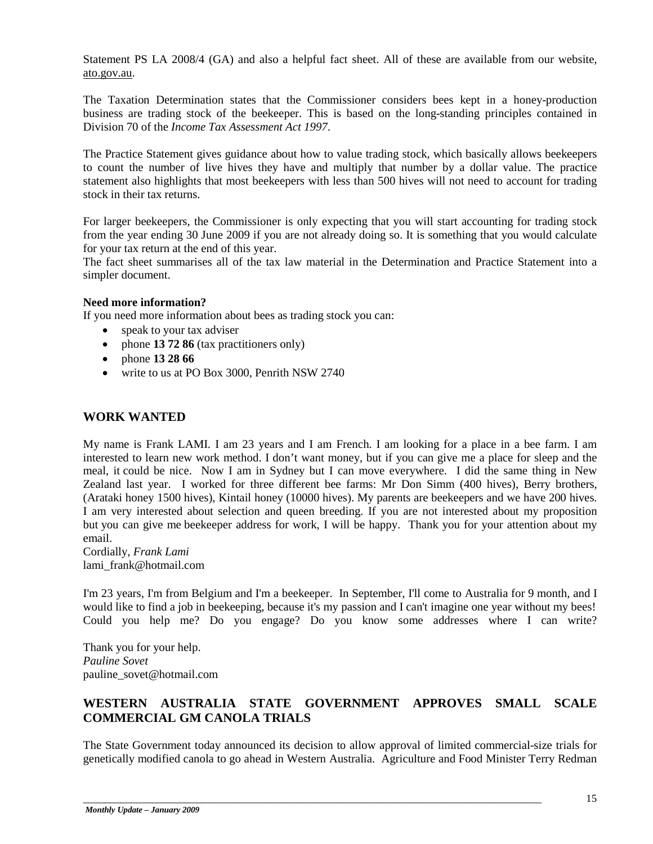Statement PS LA 2008/4 (GA) and also a helpful fact sheet. All of these are available from our website, ato.gov.au.

The Taxation Determination states that the Commissioner considers bees kept in a honey-production business are trading stock of the beekeeper. This is based on the long-standing principles contained in Division 70 of the *Income Tax Assessment Act 1997*.

The Practice Statement gives guidance about how to value trading stock, which basically allows beekeepers to count the number of live hives they have and multiply that number by a dollar value. The practice statement also highlights that most beekeepers with less than 500 hives will not need to account for trading stock in their tax returns.

For larger beekeepers, the Commissioner is only expecting that you will start accounting for trading stock from the year ending 30 June 2009 if you are not already doing so. It is something that you would calculate for your tax return at the end of this year.

The fact sheet summarises all of the tax law material in the Determination and Practice Statement into a simpler document.

#### **Need more information?**

If you need more information about bees as trading stock you can:

- speak to your tax adviser
- phone **13 72 86** (tax practitioners only)
- phone **13 28 66**
- write to us at PO Box 3000, Penrith NSW 2740

#### **WORK WANTED**

My name is Frank LAMI. I am 23 years and I am French. I am looking for a place in a bee farm. I am interested to learn new work method. I don't want money, but if you can give me a place for sleep and the meal, it could be nice. Now I am in Sydney but I can move everywhere. I did the same thing in New Zealand last year. I worked for three different bee farms: Mr Don Simm (400 hives), Berry brothers, (Arataki honey 1500 hives), Kintail honey (10000 hives). My parents are beekeepers and we have 200 hives. I am very interested about selection and queen breeding. If you are not interested about my proposition but you can give me beekeeper address for work, I will be happy. Thank you for your attention about my email.

Cordially, *Frank Lami* lami\_frank@hotmail.com

I'm 23 years, I'm from Belgium and I'm a beekeeper. In September, I'll come to Australia for 9 month, and I would like to find a job in beekeeping, because it's my passion and I can't imagine one year without my bees! Could you help me? Do you engage? Do you know some addresses where I can write?

Thank you for your help. *Pauline Sovet* pauline\_sovet@hotmail.com

# **WESTERN AUSTRALIA STATE GOVERNMENT APPROVES SMALL SCALE COMMERCIAL GM CANOLA TRIALS**

The State Government today announced its decision to allow approval of limited commercial-size trials for genetically modified canola to go ahead in Western Australia. Agriculture and Food Minister Terry Redman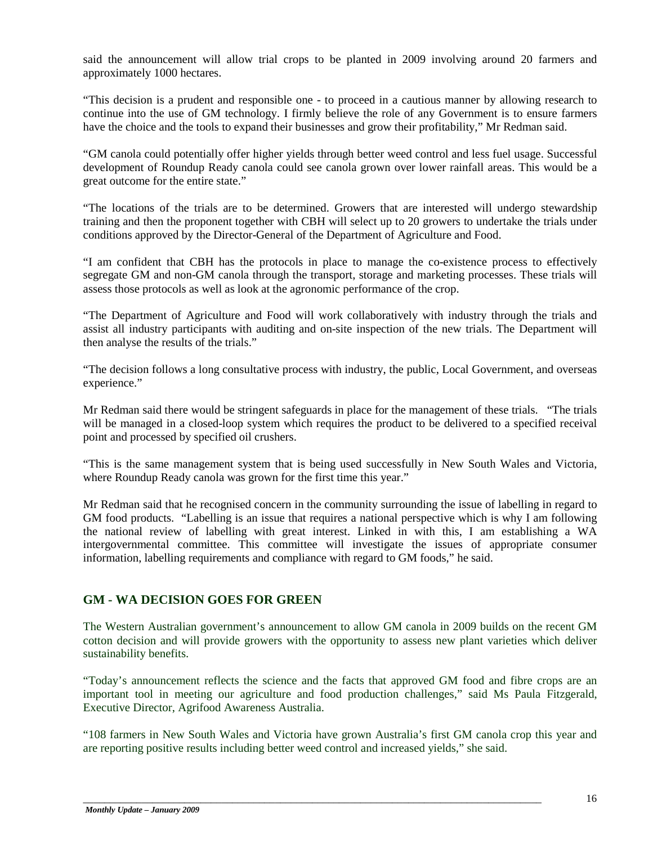said the announcement will allow trial crops to be planted in 2009 involving around 20 farmers and approximately 1000 hectares.

"This decision is a prudent and responsible one - to proceed in a cautious manner by allowing research to continue into the use of GM technology. I firmly believe the role of any Government is to ensure farmers have the choice and the tools to expand their businesses and grow their profitability," Mr Redman said.

"GM canola could potentially offer higher yields through better weed control and less fuel usage. Successful development of Roundup Ready canola could see canola grown over lower rainfall areas. This would be a great outcome for the entire state."

"The locations of the trials are to be determined. Growers that are interested will undergo stewardship training and then the proponent together with CBH will select up to 20 growers to undertake the trials under conditions approved by the Director-General of the Department of Agriculture and Food.

"I am confident that CBH has the protocols in place to manage the co-existence process to effectively segregate GM and non-GM canola through the transport, storage and marketing processes. These trials will assess those protocols as well as look at the agronomic performance of the crop.

"The Department of Agriculture and Food will work collaboratively with industry through the trials and assist all industry participants with auditing and on-site inspection of the new trials. The Department will then analyse the results of the trials."

"The decision follows a long consultative process with industry, the public, Local Government, and overseas experience."

Mr Redman said there would be stringent safeguards in place for the management of these trials. "The trials will be managed in a closed-loop system which requires the product to be delivered to a specified receival point and processed by specified oil crushers.

"This is the same management system that is being used successfully in New South Wales and Victoria, where Roundup Ready canola was grown for the first time this year."

Mr Redman said that he recognised concern in the community surrounding the issue of labelling in regard to GM food products. "Labelling is an issue that requires a national perspective which is why I am following the national review of labelling with great interest. Linked in with this, I am establishing a WA intergovernmental committee. This committee will investigate the issues of appropriate consumer information, labelling requirements and compliance with regard to GM foods," he said.

# **GM - WA DECISION GOES FOR GREEN**

The Western Australian government's announcement to allow GM canola in 2009 builds on the recent GM cotton decision and will provide growers with the opportunity to assess new plant varieties which deliver sustainability benefits.

"Today's announcement reflects the science and the facts that approved GM food and fibre crops are an important tool in meeting our agriculture and food production challenges," said Ms Paula Fitzgerald, Executive Director, Agrifood Awareness Australia.

"108 farmers in New South Wales and Victoria have grown Australia's first GM canola crop this year and are reporting positive results including better weed control and increased yields," she said.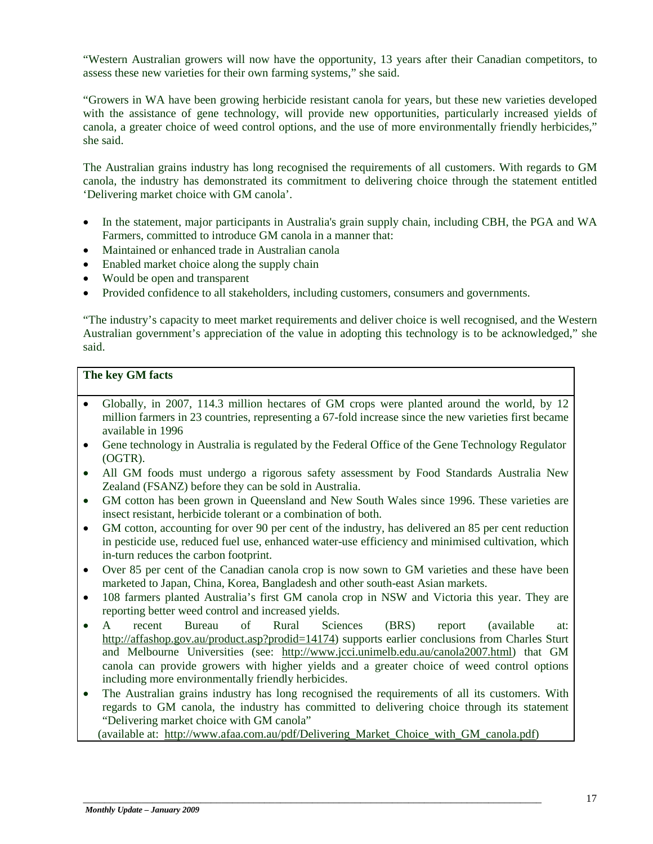"Western Australian growers will now have the opportunity, 13 years after their Canadian competitors, to assess these new varieties for their own farming systems," she said.

"Growers in WA have been growing herbicide resistant canola for years, but these new varieties developed with the assistance of gene technology, will provide new opportunities, particularly increased yields of canola, a greater choice of weed control options, and the use of more environmentally friendly herbicides," she said.

The Australian grains industry has long recognised the requirements of all customers. With regards to GM canola, the industry has demonstrated its commitment to delivering choice through the statement entitled 'Delivering market choice with GM canola'.

- In the statement, major participants in Australia's grain supply chain, including CBH, the PGA and WA Farmers, committed to introduce GM canola in a manner that:
- Maintained or enhanced trade in Australian canola
- Enabled market choice along the supply chain
- Would be open and transparent
- Provided confidence to all stakeholders, including customers, consumers and governments.

"The industry's capacity to meet market requirements and deliver choice is well recognised, and the Western Australian government's appreciation of the value in adopting this technology is to be acknowledged," she said.

#### **The key GM facts**

- Globally, in 2007, 114.3 million hectares of GM crops were planted around the world, by 12 million farmers in 23 countries, representing a 67-fold increase since the new varieties first became available in 1996
- Gene technology in Australia is regulated by the Federal Office of the Gene Technology Regulator (OGTR).
- All GM foods must undergo a rigorous safety assessment by Food Standards Australia New Zealand (FSANZ) before they can be sold in Australia.
- GM cotton has been grown in Queensland and New South Wales since 1996. These varieties are insect resistant, herbicide tolerant or a combination of both.
- GM cotton, accounting for over 90 per cent of the industry, has delivered an 85 per cent reduction in pesticide use, reduced fuel use, enhanced water-use efficiency and minimised cultivation, which in-turn reduces the carbon footprint.
- Over 85 per cent of the Canadian canola crop is now sown to GM varieties and these have been marketed to Japan, China, Korea, Bangladesh and other south-east Asian markets.
- 108 farmers planted Australia's first GM canola crop in NSW and Victoria this year. They are reporting better weed control and increased yields.
- A recent Bureau of Rural Sciences (BRS) report (available at: [http://affashop.gov.au/product.asp?prodid=14174\)](http://affashop.gov.au/product.asp?prodid=14174) supports earlier conclusions from Charles Sturt and Melbourne Universities (see: [http://www.jcci.unimelb.edu.au/canola2007.html\)](http://www.jcci.unimelb.edu.au/canola2007.html) that GM canola can provide growers with higher yields and a greater choice of weed control options including more environmentally friendly herbicides.
- The Australian grains industry has long recognised the requirements of all its customers. With regards to GM canola, the industry has committed to delivering choice through its statement "Delivering market choice with GM canola"

(available at: [http://www.afaa.com.au/pdf/Delivering\\_Market\\_Choice\\_with\\_GM\\_canola.pdf\)](http://www.afaa.com.au/pdf/Delivering_Market_Choice_with_GM_canola.pdf)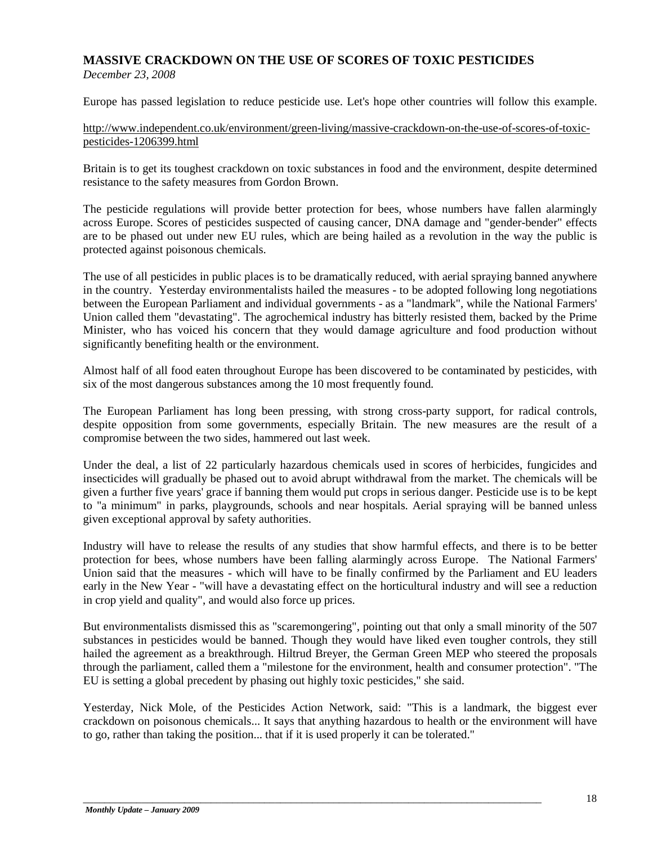# **MASSIVE CRACKDOWN ON THE USE OF SCORES OF TOXIC PESTICIDES**

*December 23, 2008*

Europe has passed legislation to reduce pesticide use. Let's hope other countries will follow this example.

#### [http://www.independent.co.uk/environment/green-living/massive-crackdown-on-the-use-of-scores-of-toxic](http://www.independent.co.uk/environment/green-living/massive-crackdown-on-the-use-of-scores-of-toxic-pesticides-1206399.html)[pesticides-1206399.html](http://www.independent.co.uk/environment/green-living/massive-crackdown-on-the-use-of-scores-of-toxic-pesticides-1206399.html)

Britain is to get its toughest crackdown on toxic substances in food and the environment, despite determined resistance to the safety measures from Gordon Brown.

The pesticide regulations will provide better protection for bees, whose numbers have fallen alarmingly across Europe. Scores of pesticides suspected of causing cancer, DNA damage and "gender-bender" effects are to be phased out under new EU rules, which are being hailed as a revolution in the way the public is protected against poisonous chemicals.

The use of all pesticides in public places is to be dramatically reduced, with aerial spraying banned anywhere in the country. Yesterday environmentalists hailed the measures - to be adopted following long negotiations between the European Parliament and individual governments - as a "landmark", while the National Farmers' Union called them "devastating". The agrochemical industry has bitterly resisted them, backed by the Prime Minister, who has voiced his concern that they would damage agriculture and food production without significantly benefiting health or the environment.

Almost half of all food eaten throughout Europe has been discovered to be contaminated by pesticides, with six of the most dangerous substances among the 10 most frequently found.

The European Parliament has long been pressing, with strong cross-party support, for radical controls, despite opposition from some governments, especially Britain. The new measures are the result of a compromise between the two sides, hammered out last week.

Under the deal, a list of 22 particularly hazardous chemicals used in scores of herbicides, fungicides and insecticides will gradually be phased out to avoid abrupt withdrawal from the market. The chemicals will be given a further five years' grace if banning them would put crops in serious danger. Pesticide use is to be kept to "a minimum" in parks, playgrounds, schools and near hospitals. Aerial spraying will be banned unless given exceptional approval by safety authorities.

Industry will have to release the results of any studies that show harmful effects, and there is to be better protection for bees, whose numbers have been falling alarmingly across Europe. The National Farmers' Union said that the measures - which will have to be finally confirmed by the Parliament and EU leaders early in the New Year - "will have a devastating effect on the horticultural industry and will see a reduction in crop yield and quality", and would also force up prices.

But environmentalists dismissed this as "scaremongering", pointing out that only a small minority of the 507 substances in pesticides would be banned. Though they would have liked even tougher controls, they still hailed the agreement as a breakthrough. Hiltrud Breyer, the German Green MEP who steered the proposals through the parliament, called them a "milestone for the environment, health and consumer protection". "The EU is setting a global precedent by phasing out highly toxic pesticides," she said.

Yesterday, Nick Mole, of the Pesticides Action Network, said: "This is a landmark, the biggest ever crackdown on poisonous chemicals... It says that anything hazardous to health or the environment will have to go, rather than taking the position... that if it is used properly it can be tolerated."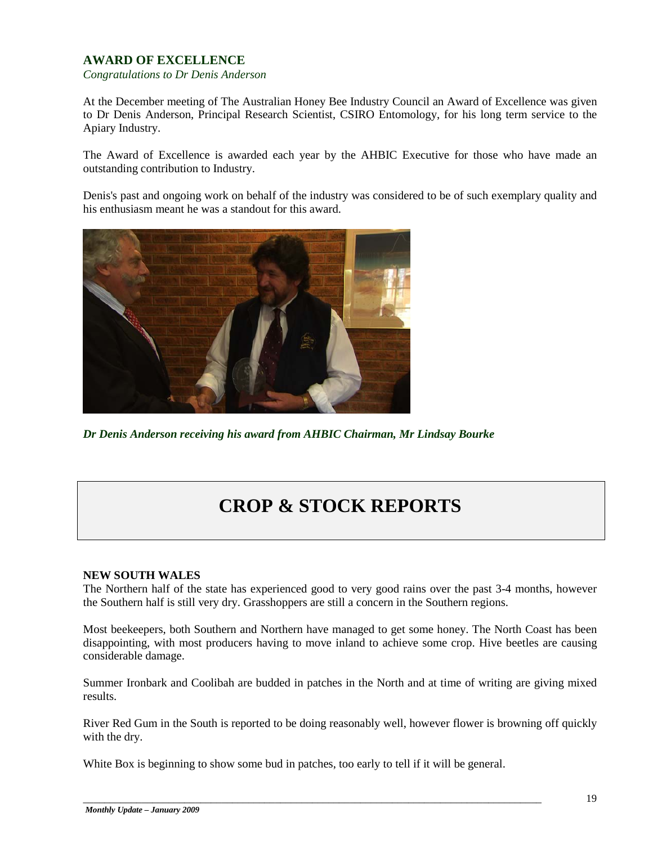# **AWARD OF EXCELLENCE**

*Congratulations to Dr Denis Anderson*

At the December meeting of The Australian Honey Bee Industry Council an Award of Excellence was given to Dr Denis Anderson, Principal Research Scientist, CSIRO Entomology, for his long term service to the Apiary Industry.

The Award of Excellence is awarded each year by the AHBIC Executive for those who have made an outstanding contribution to Industry.

Denis's past and ongoing work on behalf of the industry was considered to be of such exemplary quality and his enthusiasm meant he was a standout for this award.



*Dr Denis Anderson receiving his award from AHBIC Chairman, Mr Lindsay Bourke* 

# **CROP & STOCK REPORTS**

#### **NEW SOUTH WALES**

The Northern half of the state has experienced good to very good rains over the past 3-4 months, however the Southern half is still very dry. Grasshoppers are still a concern in the Southern regions.

Most beekeepers, both Southern and Northern have managed to get some honey. The North Coast has been disappointing, with most producers having to move inland to achieve some crop. Hive beetles are causing considerable damage.

Summer Ironbark and Coolibah are budded in patches in the North and at time of writing are giving mixed results.

River Red Gum in the South is reported to be doing reasonably well, however flower is browning off quickly with the dry.

White Box is beginning to show some bud in patches, too early to tell if it will be general.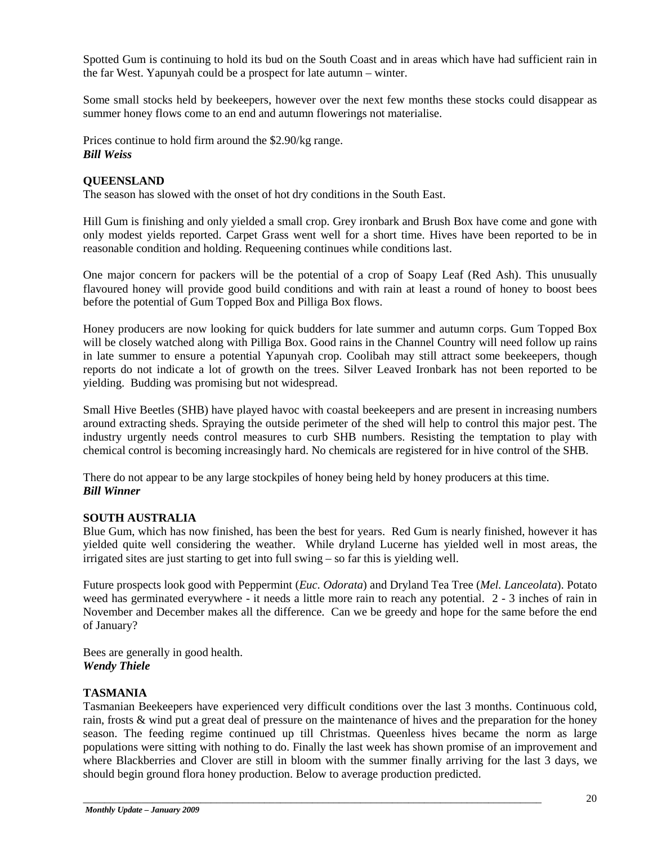Spotted Gum is continuing to hold its bud on the South Coast and in areas which have had sufficient rain in the far West. Yapunyah could be a prospect for late autumn – winter.

Some small stocks held by beekeepers, however over the next few months these stocks could disappear as summer honey flows come to an end and autumn flowerings not materialise.

Prices continue to hold firm around the \$2.90/kg range. *Bill Weiss*

## **QUEENSLAND**

The season has slowed with the onset of hot dry conditions in the South East.

Hill Gum is finishing and only yielded a small crop. Grey ironbark and Brush Box have come and gone with only modest yields reported. Carpet Grass went well for a short time. Hives have been reported to be in reasonable condition and holding. Requeening continues while conditions last.

One major concern for packers will be the potential of a crop of Soapy Leaf (Red Ash). This unusually flavoured honey will provide good build conditions and with rain at least a round of honey to boost bees before the potential of Gum Topped Box and Pilliga Box flows.

Honey producers are now looking for quick budders for late summer and autumn corps. Gum Topped Box will be closely watched along with Pilliga Box. Good rains in the Channel Country will need follow up rains in late summer to ensure a potential Yapunyah crop. Coolibah may still attract some beekeepers, though reports do not indicate a lot of growth on the trees. Silver Leaved Ironbark has not been reported to be yielding. Budding was promising but not widespread.

Small Hive Beetles (SHB) have played havoc with coastal beekeepers and are present in increasing numbers around extracting sheds. Spraying the outside perimeter of the shed will help to control this major pest. The industry urgently needs control measures to curb SHB numbers. Resisting the temptation to play with chemical control is becoming increasingly hard. No chemicals are registered for in hive control of the SHB.

There do not appear to be any large stockpiles of honey being held by honey producers at this time. *Bill Winner*

#### **SOUTH AUSTRALIA**

Blue Gum, which has now finished, has been the best for years. Red Gum is nearly finished, however it has yielded quite well considering the weather. While dryland Lucerne has yielded well in most areas, the irrigated sites are just starting to get into full swing – so far this is yielding well.

Future prospects look good with Peppermint (*Euc. Odorata*) and Dryland Tea Tree (*Mel. Lanceolata*). Potato weed has germinated everywhere - it needs a little more rain to reach any potential. 2 - 3 inches of rain in November and December makes all the difference. Can we be greedy and hope for the same before the end of January?

Bees are generally in good health. *Wendy Thiele*

#### **TASMANIA**

Tasmanian Beekeepers have experienced very difficult conditions over the last 3 months. Continuous cold, rain, frosts & wind put a great deal of pressure on the maintenance of hives and the preparation for the honey season. The feeding regime continued up till Christmas. Queenless hives became the norm as large populations were sitting with nothing to do. Finally the last week has shown promise of an improvement and where Blackberries and Clover are still in bloom with the summer finally arriving for the last 3 days, we should begin ground flora honey production. Below to average production predicted.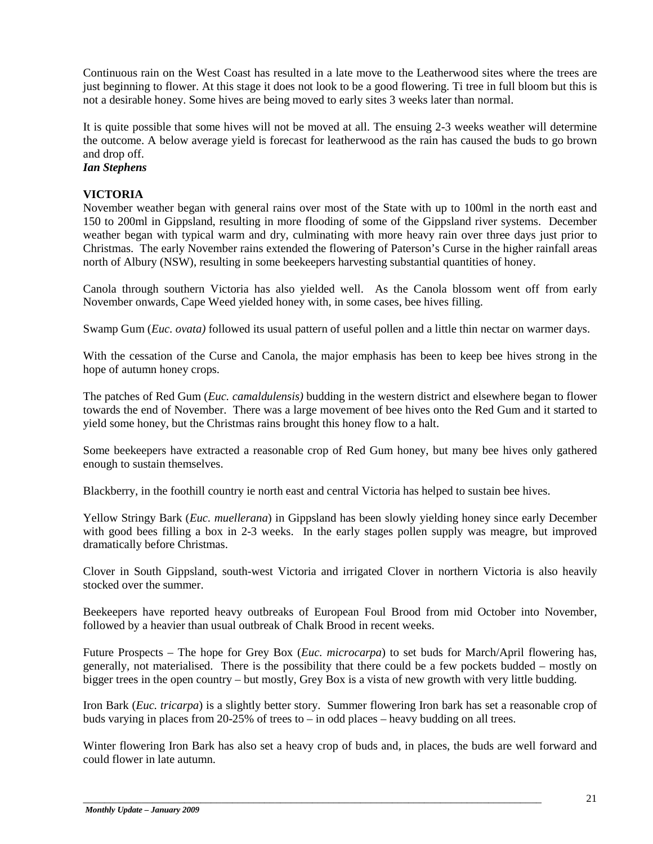Continuous rain on the West Coast has resulted in a late move to the Leatherwood sites where the trees are just beginning to flower. At this stage it does not look to be a good flowering. Ti tree in full bloom but this is not a desirable honey. Some hives are being moved to early sites 3 weeks later than normal.

It is quite possible that some hives will not be moved at all. The ensuing 2-3 weeks weather will determine the outcome. A below average yield is forecast for leatherwood as the rain has caused the buds to go brown and drop off.

# *Ian Stephens*

## **VICTORIA**

November weather began with general rains over most of the State with up to 100ml in the north east and 150 to 200ml in Gippsland, resulting in more flooding of some of the Gippsland river systems. December weather began with typical warm and dry, culminating with more heavy rain over three days just prior to Christmas. The early November rains extended the flowering of Paterson's Curse in the higher rainfall areas north of Albury (NSW), resulting in some beekeepers harvesting substantial quantities of honey.

Canola through southern Victoria has also yielded well. As the Canola blossom went off from early November onwards, Cape Weed yielded honey with, in some cases, bee hives filling.

Swamp Gum (*Euc. ovata)* followed its usual pattern of useful pollen and a little thin nectar on warmer days.

With the cessation of the Curse and Canola, the major emphasis has been to keep bee hives strong in the hope of autumn honey crops.

The patches of Red Gum (*Euc. camaldulensis)* budding in the western district and elsewhere began to flower towards the end of November. There was a large movement of bee hives onto the Red Gum and it started to yield some honey, but the Christmas rains brought this honey flow to a halt.

Some beekeepers have extracted a reasonable crop of Red Gum honey, but many bee hives only gathered enough to sustain themselves.

Blackberry, in the foothill country ie north east and central Victoria has helped to sustain bee hives.

Yellow Stringy Bark (*Euc. muellerana*) in Gippsland has been slowly yielding honey since early December with good bees filling a box in 2-3 weeks. In the early stages pollen supply was meagre, but improved dramatically before Christmas.

Clover in South Gippsland, south-west Victoria and irrigated Clover in northern Victoria is also heavily stocked over the summer.

Beekeepers have reported heavy outbreaks of European Foul Brood from mid October into November, followed by a heavier than usual outbreak of Chalk Brood in recent weeks.

Future Prospects – The hope for Grey Box (*Euc. microcarpa*) to set buds for March/April flowering has, generally, not materialised. There is the possibility that there could be a few pockets budded – mostly on bigger trees in the open country – but mostly, Grey Box is a vista of new growth with very little budding.

Iron Bark (*Euc. tricarpa*) is a slightly better story. Summer flowering Iron bark has set a reasonable crop of buds varying in places from 20-25% of trees to – in odd places – heavy budding on all trees.

Winter flowering Iron Bark has also set a heavy crop of buds and, in places, the buds are well forward and could flower in late autumn.